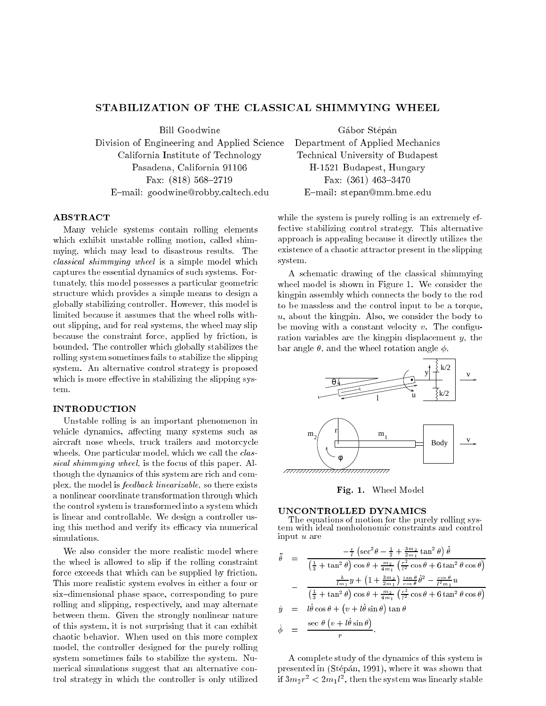# STABILIZATION OF THE CLASSICAL SHIMMYING WHEEL

**Bill Goodwine** 

Division of Engineering and Applied Science Department of Applied Mechanics California Institute of Technology Technical University of Budapest Pasadena, California 91106 H-1521 Budapest, Hungary Fax:  $(818)$  568-2719 Fax:  $(361)$  463-3470 E-mail: goodwine@robby.caltech.edu E-mail: stepan@mm.bme.edu

ABSTRACT

Many vehicle systems contain rolling elements which exhibit unstable rolling motion, called shimmying, which may lead to disastrous results. The classical shimmying wheel is a simple model which captures the essential dynamics of such systems. Fortunately, this model possesses a particular geometric structure which provides a simple means to design a globally stabilizing controller. However, this model is limited because it assumes that the wheel rolls without slipping, and for real systems, the wheel may slip because the constraint force, applied by friction, is bounded. The controller which globally stabilizes the rolling system sometimes fails to stabilize the slipping system. An alternative control strategy is proposed which is more effective in stabilizing the slipping system.

# INTRODUCTION

Unstable rolling is an important phenomenon in vehicle dynamics, affecting many systems such as aircraft nose wheels, truck trailers and motorcycle wheels. One particular model, which we call the *clas*sical shimmying wheel, is the focus of this paper. Although the dynamics of this system are rich and complex, the model is feedback linearizable, so there exists a nonlinear coordinate transformation through which the control system is transformed into a system which is linear and controllable. We design a controller using this method and verify its efficacy via numerical simulations.

We also consider the more realistic model where the wheel is allowed to slip if the rolling constraint force exceeds that which can be supplied by friction. This more realistic system evolves in either a four or six-dimensional phase space, corresponding to pure rolling and slipping, respectively, and may alternate between them. Given the strongly nonlinear nature of this system, it is not surprising that it can exhibit chaotic behavior. When used on this more complex model, the controller designed for the purely rolling system sometimes fails to stabilize the system. Numerical simulations suggest that an alternative control strategy in which the controller is only utilized

Gábor Stépán

while the system is purely rolling is an extremely effective stabilizing control strategy. This alternative approach is appealing because it directly utilizes the existence of a chaotic attractor present in the slipping system.

A schematic drawing of the classical shimmying wheel model is shown in Figure 1. We consider the kingpin assembly which connects the body to the rod to be massless and the control input to be a torque, u, about the kingpin. Also, we consider the body to be moving with a constant velocity  $v$ . The configuration variables are the kingpin displacement  $y$ , the bar angle  $\theta$ , and the wheel rotation angle  $\phi$ .



Fig. 1. Wheel Model

### UNCONTROLLED DYNAMICS

The equations of motion for the purely rolling system with ideal nonholonomic constraints and control input <sup>u</sup> are

$$
\ddot{\theta} = \frac{-\frac{v}{l}\left(\sec^2\theta - \frac{1}{2} + \frac{3m_2}{2m_1}\tan^2\theta\right)\dot{\theta}}{\left(\frac{1}{3} + \tan^2\theta\right)\cos\theta + \frac{m_2}{4m_1}\left(\frac{r^2}{l^2}\cos\theta + 6\tan^2\theta\cos\theta\right)}
$$

$$
-\frac{\frac{k}{lm_1}y + \left(1 + \frac{3m_2}{2m_1}\right)\frac{\tan\theta}{\cos\theta}\dot{\theta}^2 - \frac{\cos\theta}{l^2m_1}u}{\left(\frac{1}{3} + \tan^2\theta\right)\cos\theta + \frac{m_2}{4m_1}\left(\frac{r^2}{l^2}\cos\theta + 6\tan^2\theta\cos\theta\right)}
$$

$$
\dot{y} = l\dot{\theta}\cos\theta + \left(v + l\dot{\theta}\sin\theta\right)\tan\theta
$$

$$
\dot{\phi} = \frac{\sec\theta\left(v + l\dot{\theta}\sin\theta\right)}{r}.
$$

A complete study of the dynamics of this system is presented in (Stepan, 1991), where it was shown that If  $3m_2r^- < 2m_1r$  , then the system was linearly stable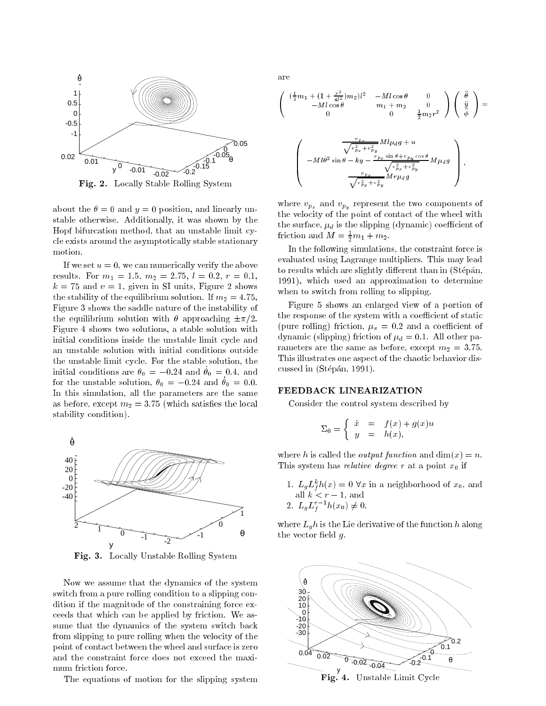

Fig. 2. Locally Stable Rolling System

about the  $\theta = 0$  and  $y = 0$  position, and linearly unstable otherwise. Additionally, it was shown by the Hopf bifurcation method, that an unstable limit cycle exists around the asymptotically stable stationary

If we set  $u = 0$ , we can numerically verify the above results. For  $m_1 = 1.5$ ,  $m_2 = 2.75$ ,  $l = 0.2$ ,  $r = 0.1$ ,  $k = 75$  and  $v = 1$ , given in SI units, Figure 2 shows the stability of the equilibrium solution. If  $m_2 = 4.75$ , Figure 3 shows the saddle nature of the instability of the equilibrium solution with  $\theta$  approaching  $\pm \pi/2$ . Figure 4 shows two solutions, a stable solution with initial conditions inside the unstable limit cycle and an unstable solution with initial conditions outside the unstable limit cycle. For the stable solution, the initial conditions are  $v_0 = -0.24$  and  $v_0 = 0.4$ , and for the unstable solution,  $v_0 = -0.24$  and  $v_0 = 0.0$ . In this simulation, all the parameters are the same as before, except  $m_2 = 3.75$  (which satisfies the local stability condition).



Fig. 3. Locally Unstable Rolling System

Now we assume that the dynamics of the system switch from a pure rolling condition to a slipping condition if the magnitude of the constraining force exceeds that which can be applied by friction. We assume that the dynamics of the system switch back from slipping to pure rolling when the velocity of the point of contact between the wheel and surface is zero and the constraint force does not exceed the maximum friction force.

The equations of motion for the slipping system

are

 $\setminus$ 

$$
\begin{pmatrix}\n\left(\frac{1}{3}m_1 + (1 + \frac{r^2}{4l^2})m_2\right)l^2 & -Ml\cos\theta & 0 \\
-Ml\cos\theta & m_1 + m_2 & 0 \\
0 & 0 & \frac{1}{2}m_2r^2\n\end{pmatrix}\n\begin{pmatrix}\n\ddot{\theta} \\
\ddot{y} \\
\ddot{\phi}\n\end{pmatrix} =
$$
\n
$$
\begin{pmatrix}\n\frac{v_{Px}}{\sqrt{v_{Px}^2 + v_{py}^2}} Ml\mu_d g + u \\
-Ml\dot{\theta}^2 \sin\theta - ky - \frac{v_{Px} \sin\theta + v_{Py} \cos\theta}{\sqrt{v_{Px}^2 + v_{py}^2}} M\mu_d g \\
-\frac{v_{Px}}{Mr\mu_d g}\n\end{pmatrix},
$$

M rd <sup>g</sup>

where  $v_{p_x}$  and  $v_{p_y}$  represent the two components of the velocity of the point of contact of the wheel with the surface,  $\mu_d$  is the slipping (dynamic) coefficient of friction and  $M = \frac{1}{2}m_1 + m_2$ .

 $v =$  $p_x + v_p$ r u

In the following simulations, the constraint force is evaluated using Lagrange multipliers. This may lead to results which are slightly different than in (Stépán, 1991), which used an approximation to determine when to switch from rolling to slipping.

Figure 5 shows an enlarged view of a portion of the response of the system with a coefficient of static (pure rolling) friction,  $\mu_s = 0.2$  and a coefficient of dynamic (slipping) friction of  $\mu_d = 0.1$ . All other parameters are the same as before, except  $m_2 = 3.75$ . This illustrates one aspect of the chaotic behavior discussed in (Stépán, 1991).

### FEEDBACK LINEARIZATION

Consider the control system described by

$$
\Sigma_0 = \begin{cases} \dot{x} = f(x) + g(x)u \\ y = h(x), \end{cases}
$$

where h is called the *output function* and  $\dim(x) = n$ . This system has *relative degree* r at a point  $x_0$  if

- 1.  $L_g L_f^2 n(x) = 0$  vx in a neignborhood of  $x_0$ , and all  $k < r - 1$ , and
- 2.  $L_g L_f^- n(x_0) \neq 0$ ,

where  $L_g h$  is the Lie derivative of the function h along the vector field  $g$ .



Fig. 4. Unstable Limit Cycle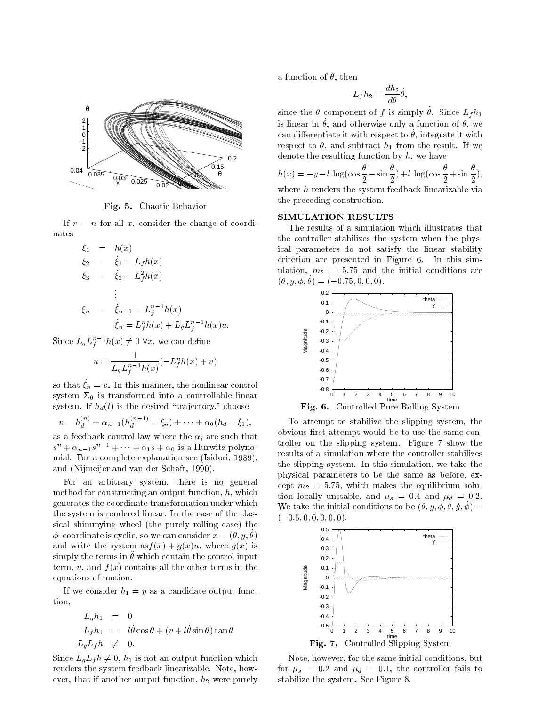

Fig. 5. Chaotic Behavior

If  $r = n$  for all x, consider the change of coordinates

$$
\xi_1 = h(x)
$$
  
\n
$$
\xi_2 = \dot{\xi}_1 = L_f h(x)
$$
  
\n
$$
\xi_3 = \dot{\xi}_2 = L_f^2 h(x)
$$
  
\n
$$
\vdots
$$
  
\n
$$
\xi_n = \dot{\xi}_{n-1} = L_f^{n-1} h(x)
$$
  
\n
$$
\dot{\xi}_n = L_f^n h(x) + L_g L_f^{n-1} h(x) u.
$$

Since  $L_g L_f^{\times -} h(x) \neq 0$  vx, we can define

$$
u = \frac{1}{L_g L_f^{n-1} h(x)} (-L_f^n h(x) + v)
$$

so that  $\zeta_n = v$ . In this manner, the nonlinear control system  $\Sigma_0$  is transformed into a controllable linear system. If  $h_d(t)$  is the desired "trajectory," choose

$$
v = h_d^{(n)} + \alpha_{n-1}(h_d^{(n-1)} - \xi_n) + \dots + \alpha_0(h_d - \xi_1),
$$

as a feedback control law where the  $\alpha_i$  are such that  $s^{n} + \alpha_{n-1}s^{n-1} + \cdots + \alpha_{1}s + \alpha_{0}$  is a Hurwitz polynomial. For a complete explanation see (Isidori, 1989), and (Nijmeijer and van der Schaft, 1990).

For an arbitrary system, there is no general method for constructing an output function,  $h$ , which generates the coordinate transformation under which the system is rendered linear. In the case of the classical shimmying wheel (the purely rolling case) the  $\varphi$ -coordinate is cyclic, so we can consider  $x = (v, y, v)$ and write the system as  $f(x) + q(x)u$ , where  $q(x)$  is simply the terms in which contain the control input term, u, and  $f(x)$  contains all the other terms in the equations of motion.

If we consider  $h_1 = y$  as a candidate output function,

$$
L_g h_1 = 0
$$
  
\n
$$
L_f h_1 = l\dot{\theta} \cos \theta + (v + l\dot{\theta} \sin \theta) \tan \theta
$$
  
\n
$$
L_g L_f h \neq 0.
$$

Since  $L_qL_f h \neq 0$ ,  $h_1$  is not an output function which renders the system feedback linearizable. Note, however, that if another output function,  $h_2$  were purely a function of  $\theta$ , then

$$
L_f h_2 = \frac{dh_2}{d\theta} \dot{\theta},
$$

since the  $\nu$  component or  $f$  is simply  $\nu$ . Since  $L_f \nu_1$ is inicar in  $\nu$ , and otherwise only a function or  $\nu$ , we can differentiate it with respect to  $v$ , integrate it with respect to  $\theta$ , and subtract  $h_1$  from the result. If we denote the resulting function by  $h$ , we have

$$
h(x) = -y - l \log(\cos\frac{\theta}{2} - \sin\frac{\theta}{2}) + l \log(\cos\frac{\theta}{2} + \sin\frac{\theta}{2}),
$$
  
where h renders the system feedback linearizable via  
the preceding construction.

## SIMULATION RESULTS

The results of a simulation which illustrates that the controller stabilizes the system when the physical parameters do not satisfy the linear stability criterion are presented in Figure 6. In this simulation,  $m_2 = 5.75$  and the initial conditions are  $(0, 0, 0, 0) = (-0, 1, 0, 0, 0, 0).$ 



To attempt to stabilize the slipping system, the obvious first attempt would be to use the same controller on the slipping system. Figure 7 show the results of a simulation where the controller stabilizes the slipping system. In this simulation, we take the physical parameters to be the same as before, except  $m_2 = 5.75$ , which makes the equilibrium solution locally unstable, and  $\mu_s = 0.4$  and  $\mu_d = 0.2$ . We take the initial conditions to be  $(v, y, \psi, v, y, \psi)$  =  $(-0.5, 0, 0, 0, 0, 0).$ 



Note, however, for the same initial conditions, but for  $\mu_s = 0.2$  and  $\mu_d = 0.1$ , the controller fails to stabilize the system. See Figure 8.